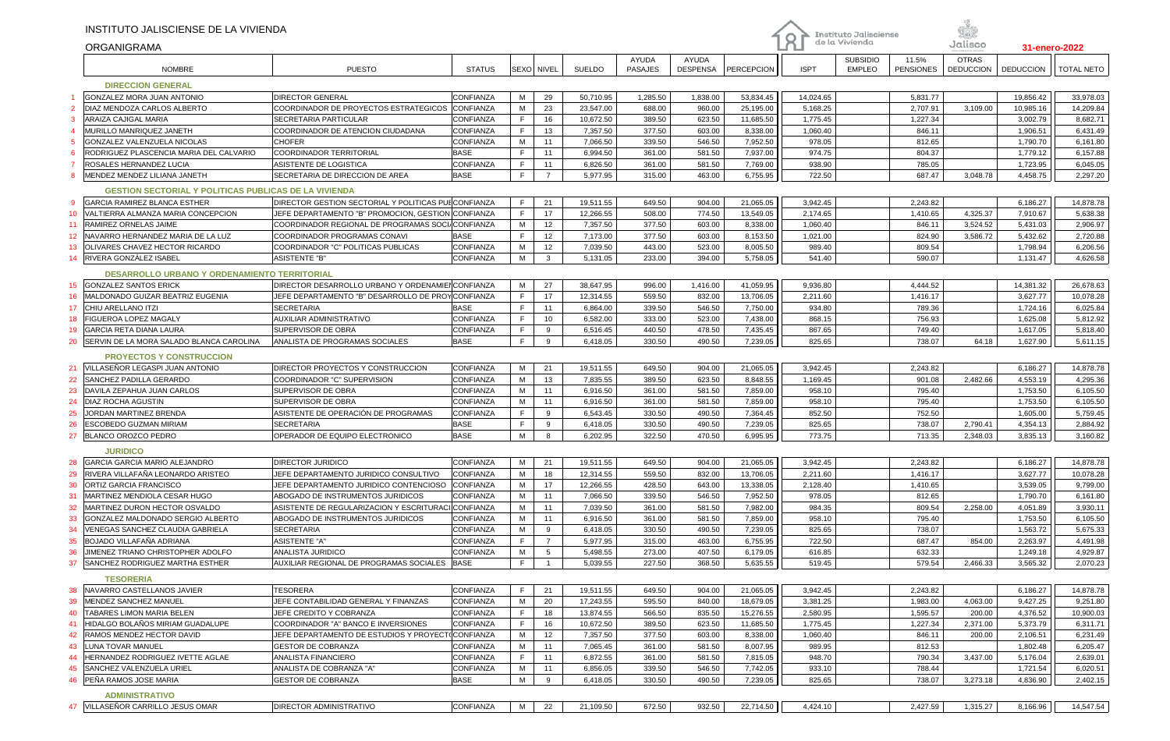|    | INSTITUTO JALISCIENSE DE LA VIVIENDA<br><b>ORGANIGRAMA</b>   |                                                       |                          |              |                   |                      |                         |                                 |                      | Instituto Jalisciense<br>႙<br>de la Vivienda |                                  | Såk<br>Jalisco            |                                  | 31-enero-2022        |                      |
|----|--------------------------------------------------------------|-------------------------------------------------------|--------------------------|--------------|-------------------|----------------------|-------------------------|---------------------------------|----------------------|----------------------------------------------|----------------------------------|---------------------------|----------------------------------|----------------------|----------------------|
|    | <b>NOMBRE</b>                                                | <b>PUESTO</b>                                         | <b>STATUS</b>            |              | <b>SEXO NIVEL</b> | <b>SUELDO</b>        | AYUDA<br><b>PASAJES</b> | <b>AYUDA</b><br><b>DESPENSA</b> | PERCEPCION           | <b>ISPT</b>                                  | <b>SUBSIDIO</b><br><b>EMPLEO</b> | 11.5%<br><b>PENSIONES</b> | <b>OTRAS</b><br><b>DEDUCCION</b> | <b>DEDUCCION</b>     | <b>TOTAL NETO</b>    |
|    | <b>DIRECCION GENERAL</b>                                     |                                                       |                          |              |                   |                      |                         |                                 |                      |                                              |                                  |                           |                                  |                      |                      |
|    | GONZALEZ MORA JUAN ANTONIO                                   | <b>DIRECTOR GENERAL</b>                               | CONFIANZA                | M            | 29                | 50,710.95            | 1,285.50                | 1,838.00                        | 53,834.45            | 14,024.65                                    |                                  | 5,831.77                  |                                  | 19,856.42            | 33,978.03            |
|    | DIAZ MENDOZA CARLOS ALBERTO                                  | COORDINADOR DE PROYECTOS ESTRATEGICOS                 | <b>CONFIANZA</b>         | M            | 23                | 23,547.00            | 688.00                  | 960.00                          | 25,195.00            | 5,168.25                                     |                                  | 2,707.91                  | 3,109.00                         | 10,985.16            | 14,209.84            |
|    | ARAIZA CAJIGAL MARIA                                         | SECRETARIA PARTICULAR                                 | CONFIANZA                | $\mathsf F$  | 16                | 10,672.50            | 389.50                  | 623.50                          | 11,685.50            | 1,775.45                                     |                                  | 1,227.34                  |                                  | 3,002.79             | 8,682.71             |
|    | MURILLO MANRIQUEZ JANETH                                     | COORDINADOR DE ATENCION CIUDADANA                     | CONFIANZA                | F            | 13                | 7,357.50             | 377.50                  | 603.00                          | 8,338.00             | 1,060.40                                     |                                  | 846.11                    |                                  | 1,906.51             | 6,431.49             |
|    | GONZALEZ VALENZUELA NICOLAS                                  | <b>CHOFER</b>                                         | CONFIANZA                | M            | 11                | 7,066.50             | 339.50                  | 546.50                          | 7,952.50             | 978.05                                       |                                  | 812.65                    |                                  | 1,790.70             | 6,161.80             |
|    | RODRIGUEZ PLASCENCIA MARIA DEL CALVARIO                      | <b>COORDINADOR TERRITORIAL</b>                        | <b>BASE</b>              | F            | 11                | 6,994.50             | 361.00                  | 581.50                          | 7,937.00             | 974.75                                       |                                  | 804.37                    |                                  | 1,779.12             | 6,157.88             |
|    | ROSALES HERNANDEZ LUCIA                                      | ASISTENTE DE LOGISTICA                                | CONFIANZA                | F            | 11                | 6,826.50             | 361.00                  | 581.50                          | 7,769.00             | 938.90                                       |                                  | 785.05                    |                                  | 1,723.95             | 6,045.05             |
|    | MENDEZ MENDEZ LILIANA JANETH                                 | SECRETARIA DE DIRECCION DE AREA                       | <b>BASE</b>              | F            | $\overline{7}$    | 5,977.95             | 315.00                  | 463.00                          | 6,755.95             | 722.50                                       |                                  | 687.47                    | 3,048.78                         | 4,458.75             | 2,297.20             |
|    | <b>GESTION SECTORIAL Y POLITICAS PUBLICAS DE LA VIVIENDA</b> |                                                       |                          |              |                   |                      |                         |                                 |                      |                                              |                                  |                           |                                  |                      |                      |
| -9 | <b>GARCIA RAMIREZ BLANCA ESTHER</b>                          | DIRECTOR GESTION SECTORIAL Y POLITICAS PULCONFIANZA   |                          | F            | 21                | 19,511.55            | 649.50                  | 904.00                          | 21,065.05            | 3,942.45                                     |                                  | 2,243.82                  |                                  | 6,186.27             | 14,878.78            |
| 10 | VALTIERRA ALMANZA MARIA CONCEPCION                           | JEFE DEPARTAMENTO "B" PROMOCION, GESTION CONFIANZA    |                          | $\mathsf F$  | 17                | 12,266.55            | 508.00                  | 774.50                          | 13,549.05            | 2,174.65                                     |                                  | 1,410.65                  | 4,325.37                         | 7,910.67             | 5,638.38             |
| 11 | RAMIREZ ORNELAS JAIME                                        | COORDINADOR REGIONAL DE PROGRAMAS SOCI/CONFIANZA      |                          | M            | 12                | 7,357.50             | 377.50                  | 603.00                          | 8,338.00             | 1,060.40                                     |                                  | 846.11                    | 3,524.52                         | 5,431.03             | 2,906.97             |
| 12 | NAVARRO HERNANDEZ MARIA DE LA LUZ                            | COORDINADOR PROGRAMAS CONAVI                          | <b>BASE</b>              | $\mathsf F$  | 12                | 7,173.00             | 377.50                  | 603.00                          | 8,153.50             | 1,021.00                                     |                                  | 824.90                    | 3,586.72                         | 5,432.62             | 2,720.88             |
| 13 | OLIVARES CHAVEZ HECTOR RICARDO                               | COORDINADOR "C" POLITICAS PUBLICAS                    | CONFIANZA                | M            | 12                | 7,039.50             | 443.00                  | 523.00                          | 8,005.50             | 989.40                                       |                                  | 809.54                    |                                  | 1,798.94             | 6,206.56             |
| 14 | RIVERA GONZÁLEZ ISABEL                                       | <b>ASISTENTE "B"</b>                                  | CONFIANZA                | M            | $\mathbf{3}$      | 5,131.05             | 233.00                  | 394.00                          | 5,758.05             | 541.40                                       |                                  | 590.07                    |                                  | 1,131.47             | 4,626.58             |
|    | <b>DESARROLLO URBANO Y ORDENAMIENTO TERRITORIAL</b>          |                                                       |                          |              |                   |                      |                         |                                 |                      |                                              |                                  |                           |                                  |                      |                      |
|    | 15 GONZALEZ SANTOS ERICK                                     | DIRECTOR DESARROLLO URBANO Y ORDENAMIENCONFIANZA      |                          | M            | 27                | 38,647.95            | 996.00                  | 1,416.00                        | 41,059.95            | 9,936.80                                     |                                  | 4,444.52                  |                                  | 14,381.32            | 26,678.63            |
| 16 | MALDONADO GUIZAR BEATRIZ EUGENIA                             | JEFE DEPARTAMENTO "B" DESARROLLO DE PROYCONFIANZA     |                          | $\mathsf{F}$ | 17                | 12,314.55            | 559.50                  | 832.00                          | 13,706.05            | 2,211.60                                     |                                  | 1,416.17                  |                                  | 3,627.77             | 10,078.28            |
|    | CHIU ARELLANO ITZI                                           | <b>SECRETARIA</b>                                     | <b>BASE</b>              | $\mathsf{F}$ | 11                | 6,864.00             | 339.50                  | 546.50                          | 7,750.00             | 934.80                                       |                                  | 789.36                    |                                  | 1,724.16             | 6,025.84             |
| 18 | <b>FIGUEROA LOPEZ MAGALY</b>                                 | <b>AUXILIAR ADMINISTRATIVO</b>                        | CONFIANZA                | $\mathsf F$  | 10                | 6,582.00             | 333.00                  | 523.00                          | 7,438.00             | 868.15                                       |                                  | 756.93                    |                                  | 1,625.08             | 5,812.92             |
| 19 | <b>GARCIA RETA DIANA LAURA</b>                               | SUPERVISOR DE OBRA                                    | CONFIANZA                | F            | 9                 | 6,516.45             | 440.50                  | 478.50                          | 7,435.45             | 867.65                                       |                                  | 749.40                    |                                  | 1,617.05             | 5,818.40             |
| 20 | SERVIN DE LA MORA SALADO BLANCA CAROLINA                     | ANALISTA DE PROGRAMAS SOCIALES                        | <b>BASE</b>              | F            | 9                 | 6,418.05             | 330.50                  | 490.50                          | 7,239.05             | 825.65                                       |                                  | 738.07                    | 64.18                            | 1,627.90             | 5,611.15             |
|    | <b>PROYECTOS Y CONSTRUCCION</b>                              |                                                       |                          |              |                   |                      |                         |                                 |                      |                                              |                                  |                           |                                  |                      |                      |
|    | 21 VILLASENOR LEGASPI JUAN ANTONIO                           | DIRECTOR PROYECTOS Y CONSTRUCCION                     | CONFIANZA                | М            | 21                | 19,511.55            | 649.50                  | 904.00                          | 21,065.05            | 3,942.45                                     |                                  | 2,243.82                  |                                  | 6,186.27             | 14,878.78            |
| 22 | <b>SANCHEZ PADILLA GERARDO</b>                               | COORDINADOR "C" SUPERVISION                           | CONFIANZA                | M            | 13                | 7,835.55             | 389.50                  | 623.50                          | 8,848.55             | 1,169.45                                     |                                  | 901.08                    | 2,482.66                         | 4,553.19             | 4,295.36             |
| 23 | DAVILA ZEPAHUA JUAN CARLOS                                   | SUPERVISOR DE OBRA                                    | CONFIANZA                | M            | 11                | 6,916.50             | 361.00                  | 581.50                          | 7,859.00             | 958.10                                       |                                  | 795.40                    |                                  | 1,753.50             | 6,105.50             |
|    | DIAZ ROCHA AGUSTIN                                           | SUPERVISOR DE OBRA                                    | CONFIANZA                | M            | 11                | 6,916.50             | 361.00                  | 581.50                          | 7,859.00             | 958.10                                       |                                  | 795.40                    |                                  | 1,753.50             | 6,105.50             |
| 25 | JORDAN MARTINEZ BRENDA                                       | ASISTENTE DE OPERACIÓN DE PROGRAMAS                   | CONFIANZA                | F            | 9                 | 6,543.45             | 330.50                  | 490.50                          | 7,364.45             | 852.50                                       |                                  | 752.50                    |                                  | 1,605.00             | 5,759.45             |
| 26 | ESCOBEDO GUZMAN MIRIAM                                       | <b>SECRETARIA</b>                                     | <b>BASE</b>              | $\mathsf F$  | 9                 | 6,418.05             | 330.50                  | 490.50                          | 7,239.05             | 825.65                                       |                                  | 738.07                    | 2,790.41                         | 4,354.13             | 2,884.92             |
| 27 | BLANCO OROZCO PEDRO                                          | OPERADOR DE EQUIPO ELECTRONICO                        | <b>BASE</b>              | M            | 8                 | 6,202.95             | 322.50                  | 470.50                          | 6,995.95             | 773.75                                       |                                  | 713.35                    | 2,348.03                         | 3,835.13             | 3,160.82             |
|    | <b>JURIDICO</b>                                              |                                                       |                          |              |                   |                      |                         |                                 |                      |                                              |                                  |                           |                                  |                      |                      |
| 28 | <b>GARCIA GARCIA MARIO ALEJANDRO</b>                         | <b>DIRECTOR JURIDICO</b>                              | CONFIANZA                | М            | 21                | 19,511.55            | 649.50                  | 904.00                          | 21,065.05            | 3,942.45                                     |                                  | 2,243.82                  |                                  | 6,186.27             | 14,878.78            |
| 29 | RIVERA VILLAFAÑA LEONARDO ARISTEO                            | JEFE DEPARTAMENTO JURIDICO CONSULTIVO                 | CONFIANZA                | м            | 18                | 12,314.55            | 559.50                  | 832.00                          | 13,706.05            | 2,211.60                                     |                                  | 1,416.17                  |                                  | 3,627.77             | 10,078.28            |
| 30 | <b>ORTIZ GARCIA FRANCISCO</b>                                | JEFE DEPARTAMENTO JURIDICO CONTENCIOSO                | CONFIANZA                | M            | 17                | 12,266.55            | 428.50                  | 643.00                          | 13,338.05            | 2,128.40                                     |                                  | 1,410.65                  |                                  | 3,539.05             | 9,799.00             |
|    | MARTINEZ MENDIOLA CESAR HUGO                                 | ABOGADO DE INSTRUMENTOS JURIDICOS                     | CONFIANZA                | M            | 11                | 7,066.50             | 339.50                  | 546.50                          | 7,952.50             | 978.05                                       |                                  | 812.65                    |                                  | 1,790.70             | 6,161.80             |
| 32 | MARTINEZ DURON HECTOR OSVALDO                                | ASISTENTE DE REGULARIZACION Y ESCRITURACI CONFIANZA   |                          | M            | 11                | 7,039.50             | 361.00                  | 581.50                          | 7,982.00             | 984.35                                       |                                  | 809.54                    | 2,258.00                         | 4,051.89             | 3,930.11             |
| 33 | GONZALEZ MALDONADO SERGIO ALBERTO                            | ABOGADO DE INSTRUMENTOS JURIDICOS                     | CONFIANZA                | M            | 11                | 6,916.50             | 361.00                  | 581.50                          | 7,859.00             | 958.10                                       |                                  | 795.40                    |                                  | 1,753.50             | 6,105.50             |
| 34 | VENEGAS SANCHEZ CLAUDIA GABRIELA                             | <b>SECRETARIA</b>                                     | CONFIANZA                | M            | 9                 | 6,418.05             | 330.50                  | 490.50                          | 7,239.05             | 825.65                                       |                                  | 738.07                    |                                  | 1,563.72             | 5,675.33             |
| 35 | BOJADO VILLAFAÑA ADRIANA                                     | <b>ASISTENTE "A"</b>                                  | <b>CONFIANZA</b>         | F            | $\overline{7}$    | 5,977.95             | 315.00                  | 463.00                          | 6,755.95             | 722.50                                       |                                  | 687.47                    | 854.00                           | 2,263.97             | 4,491.98             |
| 36 | JIMENEZ TRIANO CHRISTOPHER ADOLFO                            | ANALISTA JURIDICO                                     | CONFIANZA                | M            | 5                 | 5,498.55             | 273.00                  | 407.50                          | 6,179.05             | 616.85                                       |                                  | 632.33                    |                                  | 1,249.18             | 4,929.87             |
|    | 37 SANCHEZ RODRIGUEZ MARTHA ESTHER                           | AUXILIAR REGIONAL DE PROGRAMAS SOCIALES   BASE        |                          | F I          | $\overline{1}$    | 5,039.55             | 227.50                  | 368.50                          | 5,635.55             | 519.45                                       |                                  | 579.54                    | 2,466.33                         | 3,565.32             | 2,070.23             |
|    | <b>TESORERIA</b>                                             |                                                       |                          |              |                   |                      |                         |                                 |                      |                                              |                                  |                           |                                  |                      |                      |
|    | 38 NAVARRO CASTELLANOS JAVIER                                | <b>TESORERA</b>                                       | <b>CONFIANZA</b>         | F            | 21                | 19,511.55            | 649.50                  | 904.00                          | 21,065.05            | 3,942.45                                     |                                  | 2,243.82                  |                                  | 6,186.27             | 14,878.78            |
| 39 | MENDEZ SANCHEZ MANUEL                                        | JEFE CONTABILIDAD GENERAL Y FINANZAS                  | <b>CONFIANZA</b>         | M            | 20                | 17,243.55            | 595.50                  | 840.00                          | 18,679.05            | 3,381.25                                     |                                  | 1,983.00                  | 4,063.00                         | 9,427.25             | 9,251.80             |
| 40 | TABARES LIMON MARIA BELEN                                    | JEFE CREDITO Y COBRANZA                               | CONFIANZA                | F            | 18                | 13,874.55            | 566.50                  | 835.50                          | 15,276.55            | 2,580.95                                     |                                  | 1,595.57                  | 200.00                           | 4,376.52             | 10,900.03            |
| 41 | HIDALGO BOLAÑOS MIRIAM GUADALUPE                             | COORDINADOR "A" BANCO E INVERSIONES                   | CONFIANZA                | F            | 16                | 10,672.50            | 389.50                  | 623.50                          | 11,685.50            | 1,775.45                                     |                                  | 1,227.34                  | 2,371.00                         | 5,373.79             | 6,311.71             |
| 42 | RAMOS MENDEZ HECTOR DAVID                                    | JEFE DEPARTAMENTO DE ESTUDIOS Y PROYECT(CONFIANZA     |                          | M            | 12                | 7,357.50             | 377.50                  | 603.00                          | 8,338.00             | 1,060.40                                     |                                  | 846.11                    | 200.00                           | 2,106.51             | 6,231.49             |
| 43 | LUNA TOVAR MANUEL                                            | <b>GESTOR DE COBRANZA</b>                             | CONFIANZA                | M            | 11                | 7,065.45             | 361.00                  | 581.50                          | 8,007.95             | 989.95                                       |                                  | 812.53                    |                                  | 1,802.48             | 6,205.47             |
| 44 | HERNANDEZ RODRIGUEZ IVETTE AGLAE                             | ANALISTA FINANCIERO                                   | <b>CONFIANZA</b>         | F            | 11                | 6,872.55             | 361.00                  | 581.50                          | 7,815.05             | 948.70                                       |                                  | 790.34                    | 3,437.00                         | 5,176.04             | 2,639.01             |
| 45 | <b>SANCHEZ VALENZUELA URIEL</b><br>46 PEÑA RAMOS JOSE MARIA  | ANALISTA DE COBRANZA "A"<br><b>GESTOR DE COBRANZA</b> | CONFIANZA<br><b>BASE</b> | M<br>M       | 11<br>9           | 6,856.05<br>6,418.05 | 339.50<br>330.50        | 546.50<br>490.50                | 7,742.05<br>7,239.05 | 933.10<br>825.65                             |                                  | 788.44<br>738.07          | 3,273.18                         | 1,721.54<br>4,836.90 | 6,020.51<br>2,402.15 |
|    | <b>ADMINISTRATIVO</b>                                        |                                                       |                          |              |                   |                      |                         |                                 |                      |                                              |                                  |                           |                                  |                      |                      |
|    | 47 VILLASEÑOR CARRILLO JESUS OMAR                            | <b>DIRECTOR ADMINISTRATIVO</b>                        | <b>CONFIANZA</b>         | M I          | 22                | 21,109.50            | 672.50                  | 932.50                          | 22,714.50            | 4,424.10                                     |                                  | 2,427.59                  | 1,315.27                         | 8,166.96             | 14,547.54            |
|    |                                                              |                                                       |                          |              |                   |                      |                         |                                 |                      |                                              |                                  |                           |                                  |                      |                      |